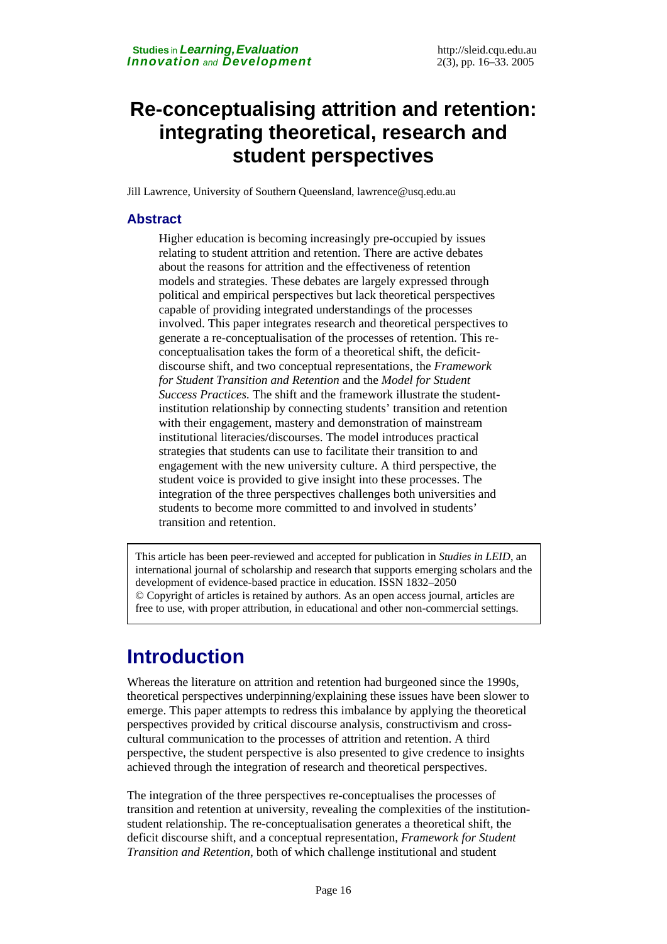# **Re-conceptualising attrition and retention: integrating theoretical, research and student perspectives**

Jill Lawrence, University of Southern Queensland, [lawrence@usq.edu.au](mailto:lawrence@usq.edu.au) 

### **Abstract**

Higher education is becoming increasingly pre-occupied by issues relating to student attrition and retention. There are active debates about the reasons for attrition and the effectiveness of retention models and strategies. These debates are largely expressed through political and empirical perspectives but lack theoretical perspectives capable of providing integrated understandings of the processes involved. This paper integrates research and theoretical perspectives to generate a re-conceptualisation of the processes of retention. This reconceptualisation takes the form of a theoretical shift, the deficitdiscourse shift, and two conceptual representations, the *Framework for Student Transition and Retention* and the *Model for Student Success Practices.* The shift and the framework illustrate the studentinstitution relationship by connecting students' transition and retention with their engagement, mastery and demonstration of mainstream institutional literacies/discourses. The model introduces practical strategies that students can use to facilitate their transition to and engagement with the new university culture. A third perspective, the student voice is provided to give insight into these processes. The integration of the three perspectives challenges both universities and students to become more committed to and involved in students' transition and retention.

This article has been peer-reviewed and accepted for publication in *Studies in LEID*, an international journal of scholarship and research that supports emerging scholars and the development of evidence-based practice in education. ISSN 1832–2050 © Copyright of articles is retained by authors. As an open access journal, articles are free to use, with proper attribution, in educational and other non-commercial settings.

# **Introduction**

Whereas the literature on attrition and retention had burgeoned since the 1990s, theoretical perspectives underpinning/explaining these issues have been slower to emerge. This paper attempts to redress this imbalance by applying the theoretical perspectives provided by critical discourse analysis, constructivism and crosscultural communication to the processes of attrition and retention. A third perspective, the student perspective is also presented to give credence to insights achieved through the integration of research and theoretical perspectives.

The integration of the three perspectives re-conceptualises the processes of transition and retention at university, revealing the complexities of the institutionstudent relationship. The re-conceptualisation generates a theoretical shift, the deficit discourse shift, and a conceptual representation, *Framework for Student Transition and Retention*, both of which challenge institutional and student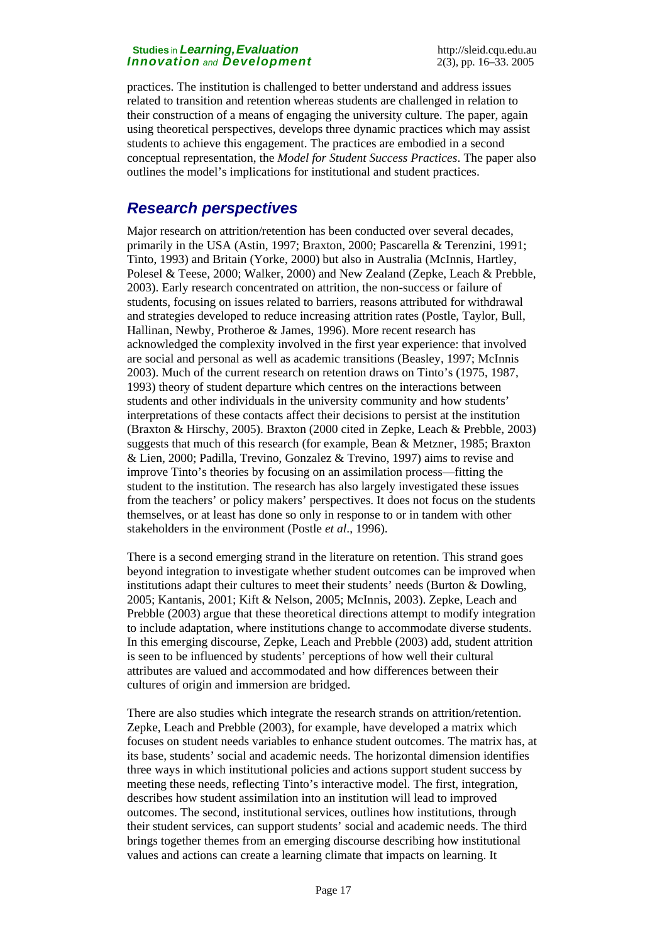practices. The institution is challenged to better understand and address issues related to transition and retention whereas students are challenged in relation to their construction of a means of engaging the university culture. The paper, again using theoretical perspectives, develops three dynamic practices which may assist students to achieve this engagement. The practices are embodied in a second conceptual representation, the *Model for Student Success Practices*. The paper also outlines the model's implications for institutional and student practices.

### *Research perspectives*

Major research on attrition/retention has been conducted over several decades, primarily in the USA (Astin, 1997; Braxton, 2000; Pascarella & Terenzini, 1991; Tinto, 1993) and Britain (Yorke, 2000) but also in Australia (McInnis, Hartley, Polesel & Teese, 2000; Walker, 2000) and New Zealand (Zepke, Leach & Prebble, 2003). Early research concentrated on attrition, the non-success or failure of students, focusing on issues related to barriers, reasons attributed for withdrawal and strategies developed to reduce increasing attrition rates (Postle, Taylor, Bull, Hallinan, Newby, Protheroe & James, 1996). More recent research has acknowledged the complexity involved in the first year experience: that involved are social and personal as well as academic transitions (Beasley, 1997; McInnis 2003). Much of the current research on retention draws on Tinto's (1975, 1987, 1993) theory of student departure which centres on the interactions between students and other individuals in the university community and how students' interpretations of these contacts affect their decisions to persist at the institution (Braxton & Hirschy, 2005). Braxton (2000 cited in Zepke, Leach & Prebble, 2003) suggests that much of this research (for example, Bean & Metzner, 1985; Braxton & Lien, 2000; Padilla, Trevino, Gonzalez & Trevino, 1997) aims to revise and improve Tinto's theories by focusing on an assimilation process—fitting the student to the institution. The research has also largely investigated these issues from the teachers' or policy makers' perspectives. It does not focus on the students themselves, or at least has done so only in response to or in tandem with other stakeholders in the environment (Postle *et al*., 1996).

There is a second emerging strand in the literature on retention. This strand goes beyond integration to investigate whether student outcomes can be improved when institutions adapt their cultures to meet their students' needs (Burton & Dowling, 2005; Kantanis, 2001; Kift & Nelson, 2005; McInnis, 2003). Zepke, Leach and Prebble (2003) argue that these theoretical directions attempt to modify integration to include adaptation, where institutions change to accommodate diverse students. In this emerging discourse, Zepke, Leach and Prebble (2003) add, student attrition is seen to be influenced by students' perceptions of how well their cultural attributes are valued and accommodated and how differences between their cultures of origin and immersion are bridged.

There are also studies which integrate the research strands on attrition/retention. Zepke, Leach and Prebble (2003), for example, have developed a matrix which focuses on student needs variables to enhance student outcomes. The matrix has, at its base, students' social and academic needs. The horizontal dimension identifies three ways in which institutional policies and actions support student success by meeting these needs, reflecting Tinto's interactive model. The first, integration, describes how student assimilation into an institution will lead to improved outcomes. The second, institutional services, outlines how institutions, through their student services, can support students' social and academic needs. The third brings together themes from an emerging discourse describing how institutional values and actions can create a learning climate that impacts on learning. It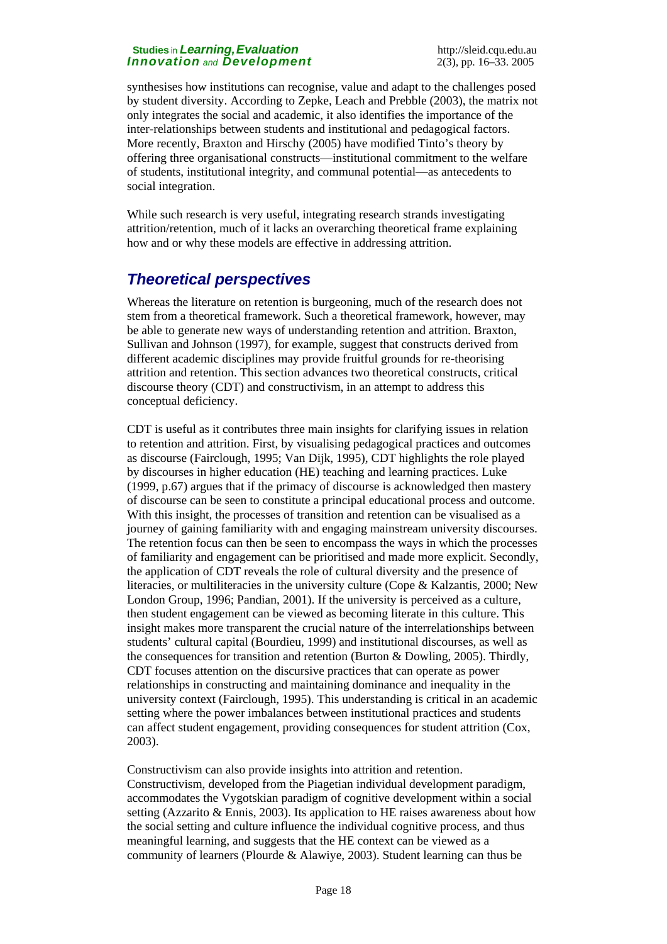synthesises how institutions can recognise, value and adapt to the challenges posed by student diversity. According to Zepke, Leach and Prebble (2003), the matrix not only integrates the social and academic, it also identifies the importance of the inter-relationships between students and institutional and pedagogical factors. More recently, Braxton and Hirschy (2005) have modified Tinto's theory by offering three organisational constructs—institutional commitment to the welfare of students, institutional integrity, and communal potential—as antecedents to social integration.

While such research is very useful, integrating research strands investigating attrition/retention, much of it lacks an overarching theoretical frame explaining how and or why these models are effective in addressing attrition.

## *Theoretical perspectives*

Whereas the literature on retention is burgeoning, much of the research does not stem from a theoretical framework. Such a theoretical framework, however, may be able to generate new ways of understanding retention and attrition. Braxton, Sullivan and Johnson (1997), for example, suggest that constructs derived from different academic disciplines may provide fruitful grounds for re-theorising attrition and retention. This section advances two theoretical constructs, critical discourse theory (CDT) and constructivism, in an attempt to address this conceptual deficiency.

CDT is useful as it contributes three main insights for clarifying issues in relation to retention and attrition. First, by visualising pedagogical practices and outcomes as discourse (Fairclough, 1995; Van Dijk, 1995), CDT highlights the role played by discourses in higher education (HE) teaching and learning practices. Luke (1999, p.67) argues that if the primacy of discourse is acknowledged then mastery of discourse can be seen to constitute a principal educational process and outcome. With this insight, the processes of transition and retention can be visualised as a journey of gaining familiarity with and engaging mainstream university discourses. The retention focus can then be seen to encompass the ways in which the processes of familiarity and engagement can be prioritised and made more explicit. Secondly, the application of CDT reveals the role of cultural diversity and the presence of literacies, or multiliteracies in the university culture (Cope & Kalzantis, 2000; New London Group, 1996; Pandian, 2001). If the university is perceived as a culture, then student engagement can be viewed as becoming literate in this culture. This insight makes more transparent the crucial nature of the interrelationships between students' cultural capital (Bourdieu, 1999) and institutional discourses, as well as the consequences for transition and retention (Burton & Dowling, 2005). Thirdly, CDT focuses attention on the discursive practices that can operate as power relationships in constructing and maintaining dominance and inequality in the university context (Fairclough, 1995). This understanding is critical in an academic setting where the power imbalances between institutional practices and students can affect student engagement, providing consequences for student attrition (Cox, 2003).

Constructivism can also provide insights into attrition and retention. Constructivism, developed from the Piagetian individual development paradigm, accommodates the Vygotskian paradigm of cognitive development within a social setting (Azzarito & Ennis, 2003). Its application to HE raises awareness about how the social setting and culture influence the individual cognitive process, and thus meaningful learning, and suggests that the HE context can be viewed as a community of learners (Plourde & Alawiye, 2003). Student learning can thus be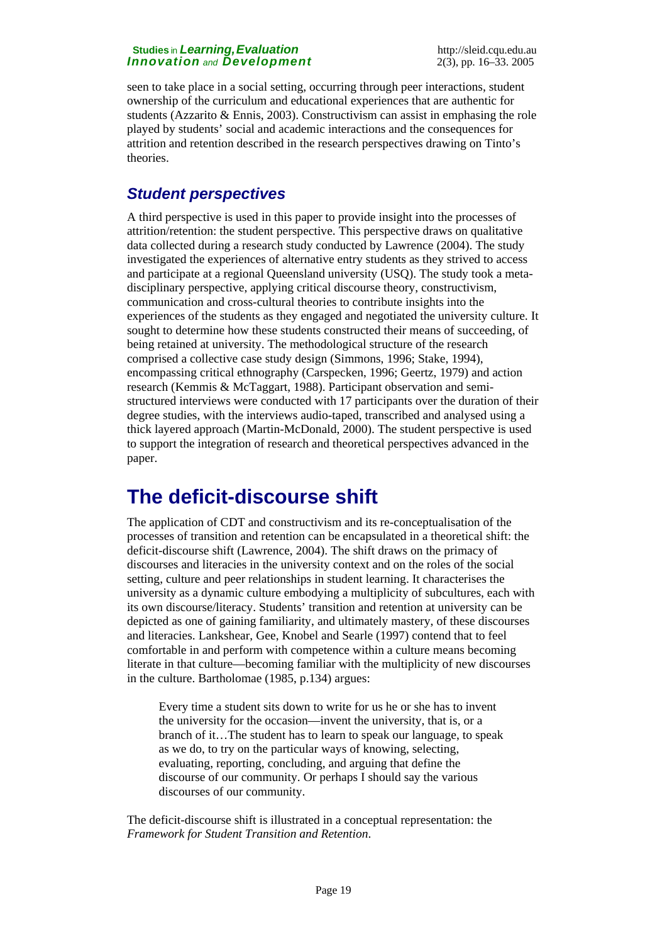seen to take place in a social setting, occurring through peer interactions, student ownership of the curriculum and educational experiences that are authentic for students (Azzarito & Ennis, 2003). Constructivism can assist in emphasing the role played by students' social and academic interactions and the consequences for attrition and retention described in the research perspectives drawing on Tinto's theories.

## *Student perspectives*

A third perspective is used in this paper to provide insight into the processes of attrition/retention: the student perspective. This perspective draws on qualitative data collected during a research study conducted by Lawrence (2004). The study investigated the experiences of alternative entry students as they strived to access and participate at a regional Queensland university (USQ). The study took a metadisciplinary perspective, applying critical discourse theory, constructivism, communication and cross-cultural theories to contribute insights into the experiences of the students as they engaged and negotiated the university culture. It sought to determine how these students constructed their means of succeeding, of being retained at university. The methodological structure of the research comprised a collective case study design (Simmons, 1996; Stake, 1994), encompassing critical ethnography (Carspecken, 1996; Geertz, 1979) and action research (Kemmis & McTaggart, 1988). Participant observation and semistructured interviews were conducted with 17 participants over the duration of their degree studies, with the interviews audio-taped, transcribed and analysed using a thick layered approach (Martin-McDonald, 2000). The student perspective is used to support the integration of research and theoretical perspectives advanced in the paper.

# **The deficit-discourse shift**

The application of CDT and constructivism and its re-conceptualisation of the processes of transition and retention can be encapsulated in a theoretical shift: the deficit-discourse shift (Lawrence, 2004). The shift draws on the primacy of discourses and literacies in the university context and on the roles of the social setting, culture and peer relationships in student learning. It characterises the university as a dynamic culture embodying a multiplicity of subcultures, each with its own discourse/literacy. Students' transition and retention at university can be depicted as one of gaining familiarity, and ultimately mastery, of these discourses and literacies. Lankshear, Gee, Knobel and Searle (1997) contend that to feel comfortable in and perform with competence within a culture means becoming literate in that culture—becoming familiar with the multiplicity of new discourses in the culture. Bartholomae (1985, p.134) argues:

Every time a student sits down to write for us he or she has to invent the university for the occasion—invent the university, that is, or a branch of it…The student has to learn to speak our language, to speak as we do, to try on the particular ways of knowing, selecting, evaluating, reporting, concluding, and arguing that define the discourse of our community. Or perhaps I should say the various discourses of our community.

The deficit-discourse shift is illustrated in a conceptual representation: the *Framework for Student Transition and Retention*.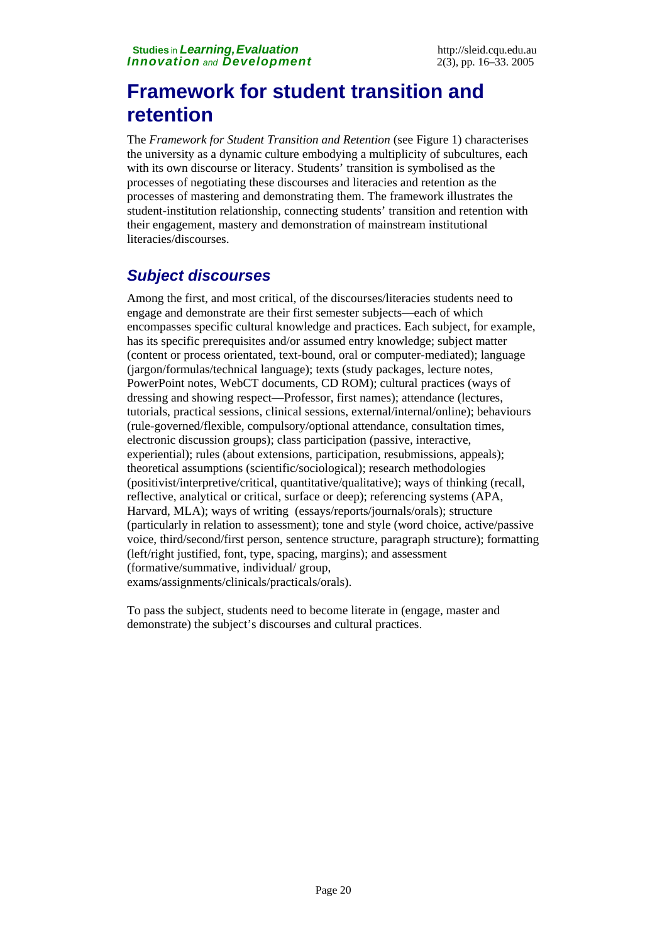# **Framework for student transition and retention**

The *Framework for Student Transition and Retention* (see Figure 1) characterises the university as a dynamic culture embodying a multiplicity of subcultures, each with its own discourse or literacy. Students' transition is symbolised as the processes of negotiating these discourses and literacies and retention as the processes of mastering and demonstrating them. The framework illustrates the student-institution relationship, connecting students' transition and retention with their engagement, mastery and demonstration of mainstream institutional literacies/discourses.

## *Subject discourses*

Among the first, and most critical, of the discourses/literacies students need to engage and demonstrate are their first semester subjects—each of which encompasses specific cultural knowledge and practices. Each subject, for example, has its specific prerequisites and/or assumed entry knowledge; subject matter (content or process orientated, text-bound, oral or computer-mediated); language (jargon/formulas/technical language); texts (study packages, lecture notes, PowerPoint notes, WebCT documents, CD ROM); cultural practices (ways of dressing and showing respect—Professor, first names); attendance (lectures, tutorials, practical sessions, clinical sessions, external/internal/online); behaviours (rule-governed/flexible, compulsory/optional attendance, consultation times, electronic discussion groups); class participation (passive, interactive, experiential); rules (about extensions, participation, resubmissions, appeals); theoretical assumptions (scientific/sociological); research methodologies (positivist/interpretive/critical, quantitative/qualitative); ways of thinking (recall, reflective, analytical or critical, surface or deep); referencing systems (APA, Harvard, MLA); ways of writing (essays/reports/journals/orals); structure (particularly in relation to assessment); tone and style (word choice, active/passive voice, third/second/first person, sentence structure, paragraph structure); formatting (left/right justified, font, type, spacing, margins); and assessment (formative/summative, individual/ group, exams/assignments/clinicals/practicals/orals).

To pass the subject, students need to become literate in (engage, master and demonstrate) the subject's discourses and cultural practices.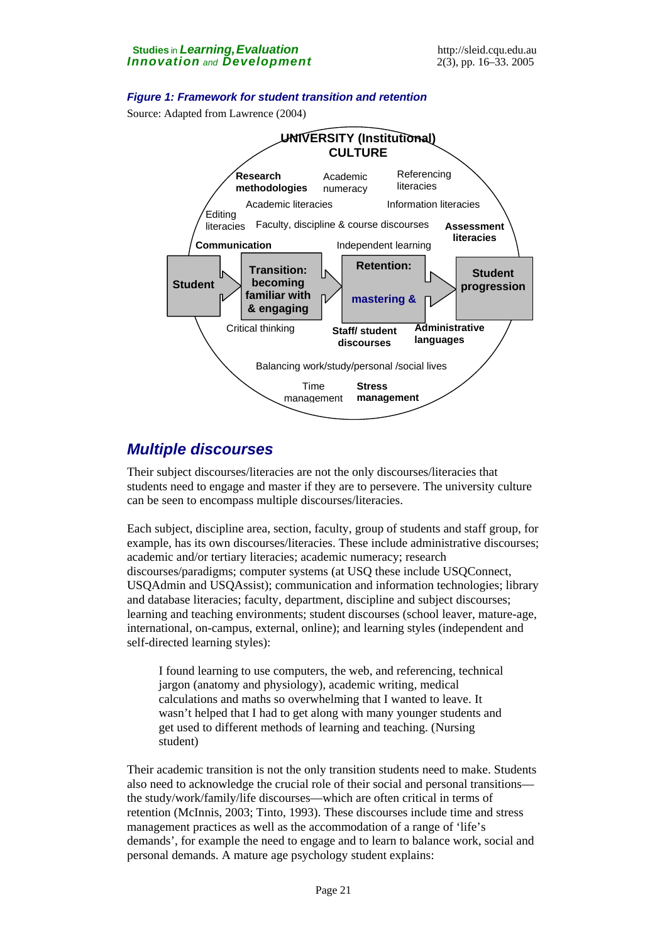### *Figure 1: Framework for student transition and retention*

Source: Adapted from Lawrence (2004)



### *Multiple discourses*

Their subject discourses/literacies are not the only discourses/literacies that students need to engage and master if they are to persevere. The university culture can be seen to encompass multiple discourses/literacies.

Each subject, discipline area, section, faculty, group of students and staff group, for example, has its own discourses/literacies. These include administrative discourses; academic and/or tertiary literacies; academic numeracy; research discourses/paradigms; computer systems (at USQ these include USQConnect, USQAdmin and USQAssist); communication and information technologies; library and database literacies; faculty, department, discipline and subject discourses; learning and teaching environments; student discourses (school leaver, mature-age, international, on-campus, external, online); and learning styles (independent and self-directed learning styles):

I found learning to use computers, the web, and referencing, technical jargon (anatomy and physiology), academic writing, medical calculations and maths so overwhelming that I wanted to leave. It wasn't helped that I had to get along with many younger students and get used to different methods of learning and teaching. (Nursing student)

Their academic transition is not the only transition students need to make. Students also need to acknowledge the crucial role of their social and personal transitions the study/work/family/life discourses—which are often critical in terms of retention (McInnis, 2003; Tinto, 1993). These discourses include time and stress management practices as well as the accommodation of a range of 'life's demands', for example the need to engage and to learn to balance work, social and personal demands. A mature age psychology student explains: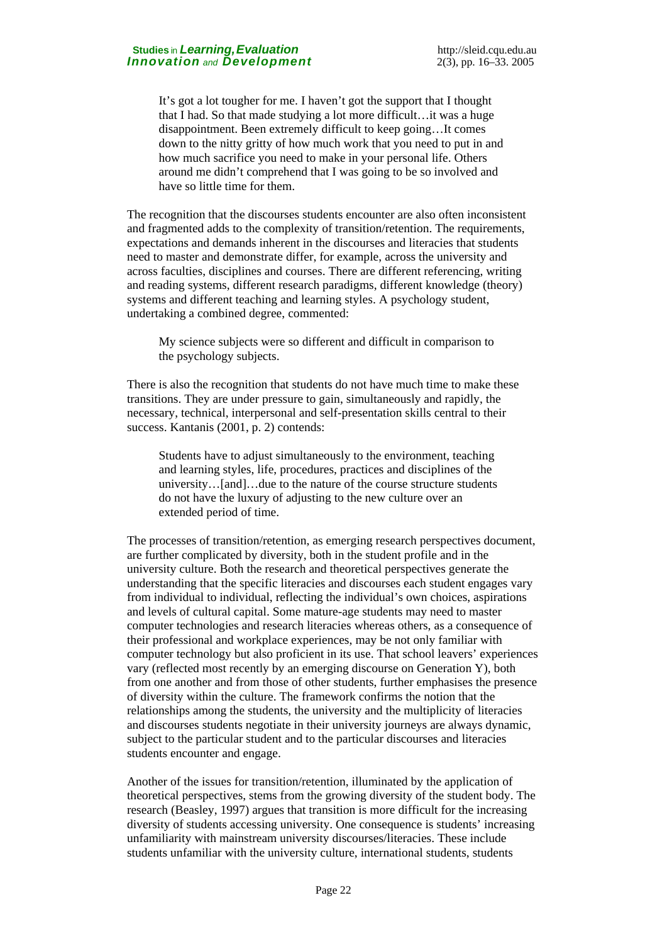It's got a lot tougher for me. I haven't got the support that I thought that I had. So that made studying a lot more difficult…it was a huge disappointment. Been extremely difficult to keep going…It comes down to the nitty gritty of how much work that you need to put in and how much sacrifice you need to make in your personal life. Others around me didn't comprehend that I was going to be so involved and have so little time for them.

The recognition that the discourses students encounter are also often inconsistent and fragmented adds to the complexity of transition/retention. The requirements, expectations and demands inherent in the discourses and literacies that students need to master and demonstrate differ, for example, across the university and across faculties, disciplines and courses. There are different referencing, writing and reading systems, different research paradigms, different knowledge (theory) systems and different teaching and learning styles. A psychology student, undertaking a combined degree, commented:

My science subjects were so different and difficult in comparison to the psychology subjects.

There is also the recognition that students do not have much time to make these transitions. They are under pressure to gain, simultaneously and rapidly, the necessary, technical, interpersonal and self-presentation skills central to their success. Kantanis (2001, p. 2) contends:

Students have to adjust simultaneously to the environment, teaching and learning styles, life, procedures, practices and disciplines of the university…[and]…due to the nature of the course structure students do not have the luxury of adjusting to the new culture over an extended period of time.

The processes of transition/retention, as emerging research perspectives document, are further complicated by diversity, both in the student profile and in the university culture. Both the research and theoretical perspectives generate the understanding that the specific literacies and discourses each student engages vary from individual to individual, reflecting the individual's own choices, aspirations and levels of cultural capital. Some mature-age students may need to master computer technologies and research literacies whereas others, as a consequence of their professional and workplace experiences, may be not only familiar with computer technology but also proficient in its use. That school leavers' experiences vary (reflected most recently by an emerging discourse on Generation Y), both from one another and from those of other students, further emphasises the presence of diversity within the culture. The framework confirms the notion that the relationships among the students, the university and the multiplicity of literacies and discourses students negotiate in their university journeys are always dynamic, subject to the particular student and to the particular discourses and literacies students encounter and engage.

Another of the issues for transition/retention, illuminated by the application of theoretical perspectives, stems from the growing diversity of the student body. The research (Beasley, 1997) argues that transition is more difficult for the increasing diversity of students accessing university. One consequence is students' increasing unfamiliarity with mainstream university discourses/literacies. These include students unfamiliar with the university culture, international students, students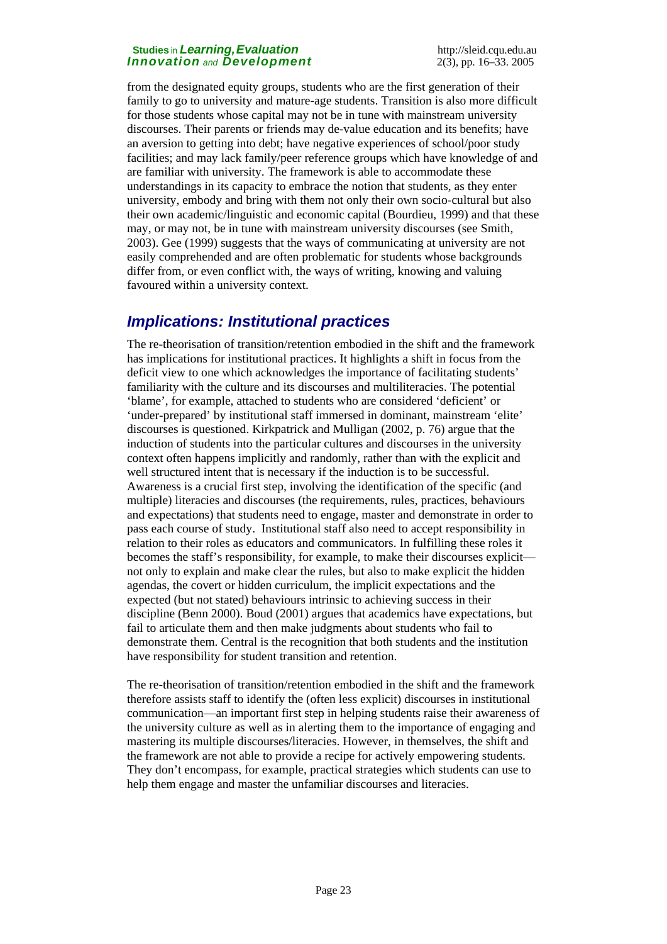from the designated equity groups, students who are the first generation of their family to go to university and mature-age students. Transition is also more difficult for those students whose capital may not be in tune with mainstream university discourses. Their parents or friends may de-value education and its benefits; have an aversion to getting into debt; have negative experiences of school/poor study facilities; and may lack family/peer reference groups which have knowledge of and are familiar with university. The framework is able to accommodate these understandings in its capacity to embrace the notion that students, as they enter university, embody and bring with them not only their own socio-cultural but also their own academic/linguistic and economic capital (Bourdieu, 1999) and that these may, or may not, be in tune with mainstream university discourses (see Smith, 2003). Gee (1999) suggests that the ways of communicating at university are not easily comprehended and are often problematic for students whose backgrounds differ from, or even conflict with, the ways of writing, knowing and valuing favoured within a university context.

## *Implications: Institutional practices*

The re-theorisation of transition/retention embodied in the shift and the framework has implications for institutional practices. It highlights a shift in focus from the deficit view to one which acknowledges the importance of facilitating students' familiarity with the culture and its discourses and multiliteracies. The potential 'blame', for example, attached to students who are considered 'deficient' or 'under-prepared' by institutional staff immersed in dominant, mainstream 'elite' discourses is questioned. Kirkpatrick and Mulligan (2002, p. 76) argue that the induction of students into the particular cultures and discourses in the university context often happens implicitly and randomly, rather than with the explicit and well structured intent that is necessary if the induction is to be successful. Awareness is a crucial first step, involving the identification of the specific (and multiple) literacies and discourses (the requirements, rules, practices, behaviours and expectations) that students need to engage, master and demonstrate in order to pass each course of study. Institutional staff also need to accept responsibility in relation to their roles as educators and communicators. In fulfilling these roles it becomes the staff's responsibility, for example, to make their discourses explicit not only to explain and make clear the rules, but also to make explicit the hidden agendas, the covert or hidden curriculum, the implicit expectations and the expected (but not stated) behaviours intrinsic to achieving success in their discipline (Benn 2000). Boud (2001) argues that academics have expectations, but fail to articulate them and then make judgments about students who fail to demonstrate them. Central is the recognition that both students and the institution have responsibility for student transition and retention.

The re-theorisation of transition/retention embodied in the shift and the framework therefore assists staff to identify the (often less explicit) discourses in institutional communication—an important first step in helping students raise their awareness of the university culture as well as in alerting them to the importance of engaging and mastering its multiple discourses/literacies. However, in themselves, the shift and the framework are not able to provide a recipe for actively empowering students. They don't encompass, for example, practical strategies which students can use to help them engage and master the unfamiliar discourses and literacies.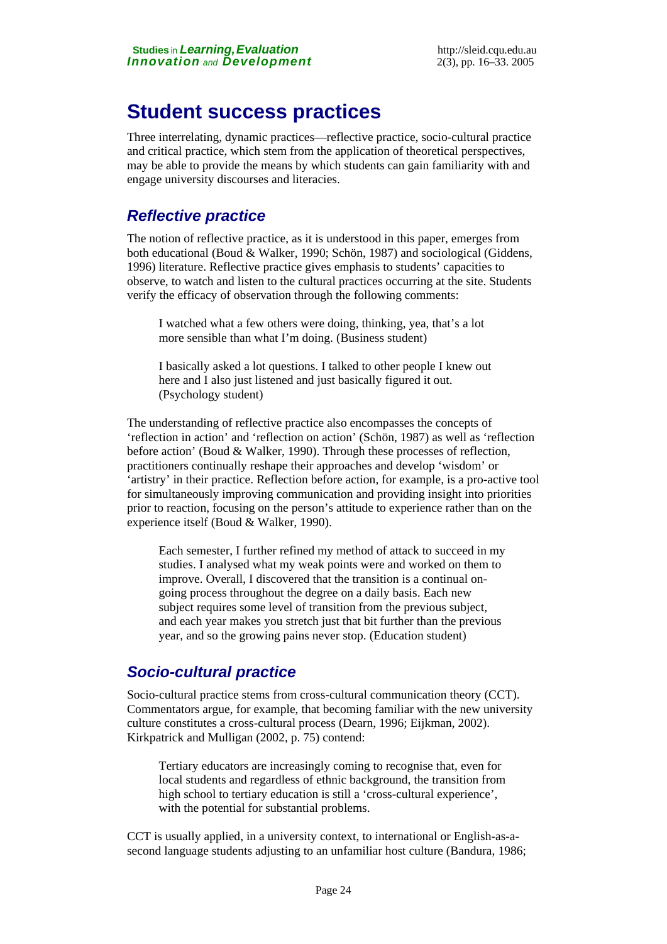# **Student success practices**

Three interrelating, dynamic practices—reflective practice, socio-cultural practice and critical practice, which stem from the application of theoretical perspectives, may be able to provide the means by which students can gain familiarity with and engage university discourses and literacies.

## *Reflective practice*

The notion of reflective practice, as it is understood in this paper, emerges from both educational (Boud & Walker, 1990; Schön, 1987) and sociological (Giddens, 1996) literature. Reflective practice gives emphasis to students' capacities to observe, to watch and listen to the cultural practices occurring at the site. Students verify the efficacy of observation through the following comments:

I watched what a few others were doing, thinking, yea, that's a lot more sensible than what I'm doing. (Business student)

I basically asked a lot questions. I talked to other people I knew out here and I also just listened and just basically figured it out. (Psychology student)

The understanding of reflective practice also encompasses the concepts of 'reflection in action' and 'reflection on action' (Schön, 1987) as well as 'reflection before action' (Boud & Walker, 1990). Through these processes of reflection, practitioners continually reshape their approaches and develop 'wisdom' or 'artistry' in their practice. Reflection before action, for example, is a pro-active tool for simultaneously improving communication and providing insight into priorities prior to reaction, focusing on the person's attitude to experience rather than on the experience itself (Boud & Walker, 1990).

Each semester, I further refined my method of attack to succeed in my studies. I analysed what my weak points were and worked on them to improve. Overall, I discovered that the transition is a continual ongoing process throughout the degree on a daily basis. Each new subject requires some level of transition from the previous subject, and each year makes you stretch just that bit further than the previous year, and so the growing pains never stop. (Education student)

### *Socio-cultural practice*

Socio-cultural practice stems from cross-cultural communication theory (CCT). Commentators argue, for example, that becoming familiar with the new university culture constitutes a cross-cultural process (Dearn, 1996; Eijkman, 2002). Kirkpatrick and Mulligan (2002, p. 75) contend:

Tertiary educators are increasingly coming to recognise that, even for local students and regardless of ethnic background, the transition from high school to tertiary education is still a 'cross-cultural experience', with the potential for substantial problems.

CCT is usually applied, in a university context, to international or English-as-asecond language students adjusting to an unfamiliar host culture (Bandura, 1986;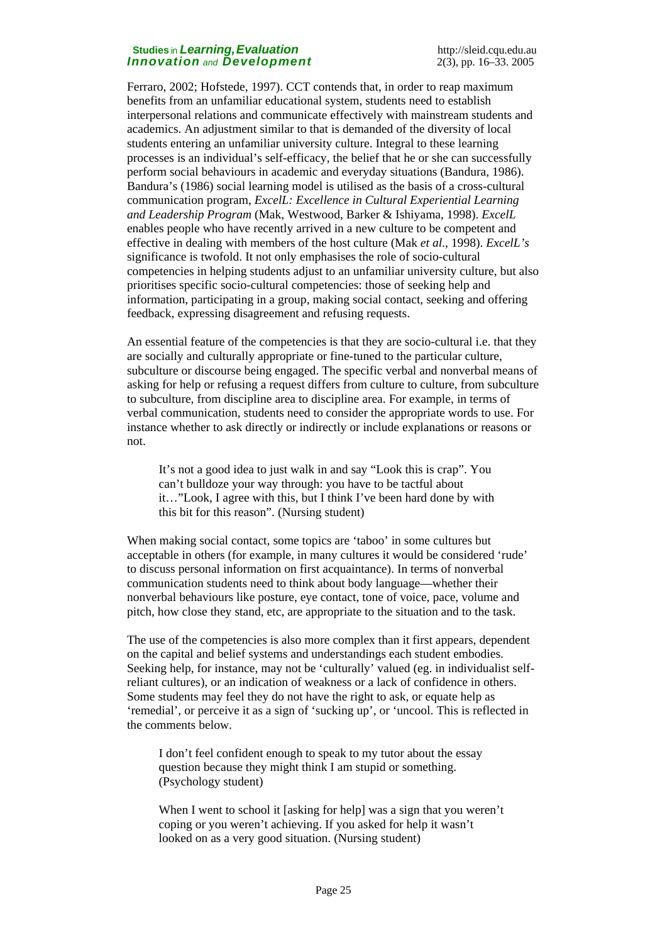Ferraro, 2002; Hofstede, 1997). CCT contends that, in order to reap maximum benefits from an unfamiliar educational system, students need to establish interpersonal relations and communicate effectively with mainstream students and academics. An adjustment similar to that is demanded of the diversity of local students entering an unfamiliar university culture. Integral to these learning processes is an individual's self-efficacy, the belief that he or she can successfully perform social behaviours in academic and everyday situations (Bandura, 1986). Bandura's (1986) social learning model is utilised as the basis of a cross-cultural communication program, *ExcelL: Excellence in Cultural Experiential Learning and Leadership Program* (Mak, Westwood, Barker & Ishiyama, 1998). *ExcelL* enables people who have recently arrived in a new culture to be competent and effective in dealing with members of the host culture (Mak *et al*., 1998). *ExcelL's* significance is twofold. It not only emphasises the role of socio-cultural competencies in helping students adjust to an unfamiliar university culture, but also prioritises specific socio-cultural competencies: those of seeking help and information, participating in a group, making social contact, seeking and offering feedback, expressing disagreement and refusing requests.

An essential feature of the competencies is that they are socio-cultural i.e. that they are socially and culturally appropriate or fine-tuned to the particular culture, subculture or discourse being engaged. The specific verbal and nonverbal means of asking for help or refusing a request differs from culture to culture, from subculture to subculture, from discipline area to discipline area. For example, in terms of verbal communication, students need to consider the appropriate words to use. For instance whether to ask directly or indirectly or include explanations or reasons or not.

It's not a good idea to just walk in and say "Look this is crap". You can't bulldoze your way through: you have to be tactful about it…"Look, I agree with this, but I think I've been hard done by with this bit for this reason". (Nursing student)

When making social contact, some topics are 'taboo' in some cultures but acceptable in others (for example, in many cultures it would be considered 'rude' to discuss personal information on first acquaintance). In terms of nonverbal communication students need to think about body language—whether their nonverbal behaviours like posture, eye contact, tone of voice, pace, volume and pitch, how close they stand, etc, are appropriate to the situation and to the task.

The use of the competencies is also more complex than it first appears, dependent on the capital and belief systems and understandings each student embodies. Seeking help, for instance, may not be 'culturally' valued (eg. in individualist selfreliant cultures), or an indication of weakness or a lack of confidence in others. Some students may feel they do not have the right to ask, or equate help as 'remedial', or perceive it as a sign of 'sucking up', or 'uncool. This is reflected in the comments below.

I don't feel confident enough to speak to my tutor about the essay question because they might think I am stupid or something. (Psychology student)

When I went to school it [asking for help] was a sign that you weren't coping or you weren't achieving. If you asked for help it wasn't looked on as a very good situation. (Nursing student)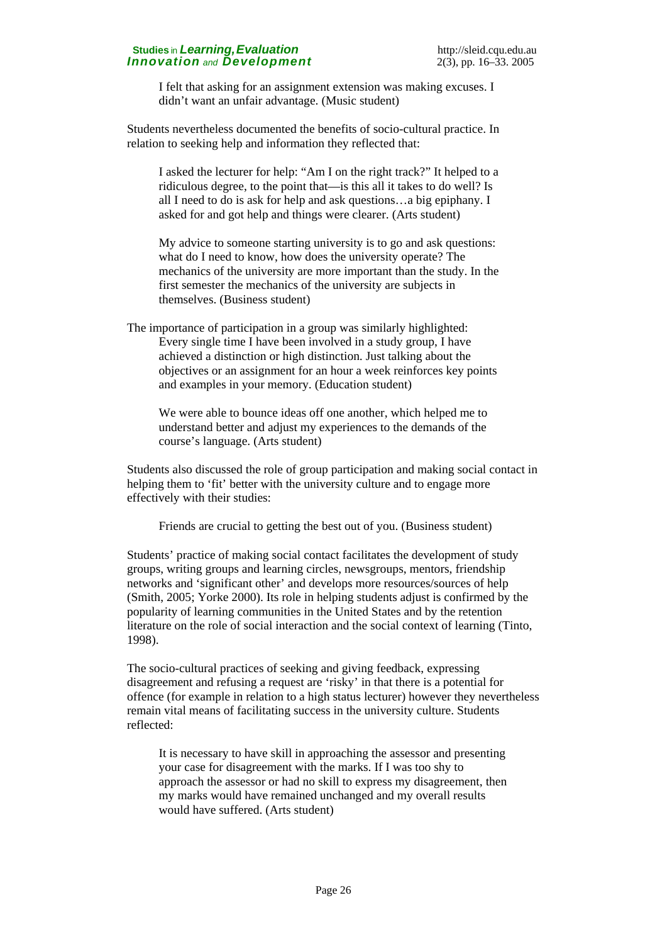I felt that asking for an assignment extension was making excuses. I didn't want an unfair advantage. (Music student)

Students nevertheless documented the benefits of socio-cultural practice. In relation to seeking help and information they reflected that:

I asked the lecturer for help: "Am I on the right track?" It helped to a ridiculous degree, to the point that—is this all it takes to do well? Is all I need to do is ask for help and ask questions…a big epiphany. I asked for and got help and things were clearer. (Arts student)

My advice to someone starting university is to go and ask questions: what do I need to know, how does the university operate? The mechanics of the university are more important than the study. In the first semester the mechanics of the university are subjects in themselves. (Business student)

The importance of participation in a group was similarly highlighted: Every single time I have been involved in a study group, I have achieved a distinction or high distinction. Just talking about the objectives or an assignment for an hour a week reinforces key points and examples in your memory. (Education student)

We were able to bounce ideas off one another, which helped me to understand better and adjust my experiences to the demands of the course's language. (Arts student)

Students also discussed the role of group participation and making social contact in helping them to 'fit' better with the university culture and to engage more effectively with their studies:

Friends are crucial to getting the best out of you. (Business student)

Students' practice of making social contact facilitates the development of study groups, writing groups and learning circles, newsgroups, mentors, friendship networks and 'significant other' and develops more resources/sources of help (Smith, 2005; Yorke 2000). Its role in helping students adjust is confirmed by the popularity of learning communities in the United States and by the retention literature on the role of social interaction and the social context of learning (Tinto, 1998).

The socio-cultural practices of seeking and giving feedback, expressing disagreement and refusing a request are 'risky' in that there is a potential for offence (for example in relation to a high status lecturer) however they nevertheless remain vital means of facilitating success in the university culture. Students reflected:

It is necessary to have skill in approaching the assessor and presenting your case for disagreement with the marks. If I was too shy to approach the assessor or had no skill to express my disagreement, then my marks would have remained unchanged and my overall results would have suffered. (Arts student)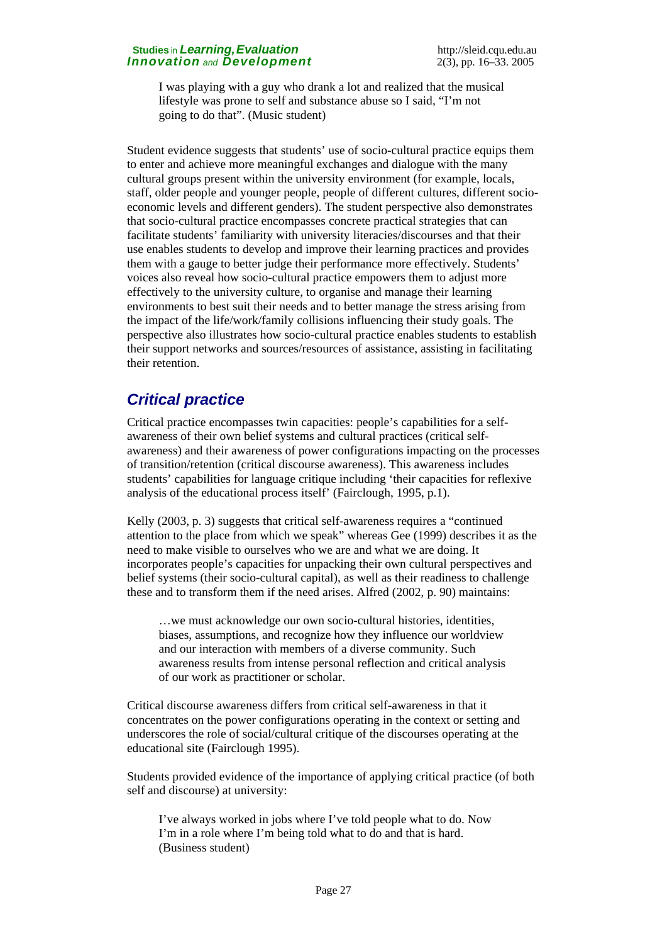I was playing with a guy who drank a lot and realized that the musical lifestyle was prone to self and substance abuse so I said, "I'm not going to do that". (Music student)

Student evidence suggests that students' use of socio-cultural practice equips them to enter and achieve more meaningful exchanges and dialogue with the many cultural groups present within the university environment (for example, locals, staff, older people and younger people, people of different cultures, different socioeconomic levels and different genders). The student perspective also demonstrates that socio-cultural practice encompasses concrete practical strategies that can facilitate students' familiarity with university literacies/discourses and that their use enables students to develop and improve their learning practices and provides them with a gauge to better judge their performance more effectively. Students' voices also reveal how socio-cultural practice empowers them to adjust more effectively to the university culture, to organise and manage their learning environments to best suit their needs and to better manage the stress arising from the impact of the life/work/family collisions influencing their study goals. The perspective also illustrates how socio-cultural practice enables students to establish their support networks and sources/resources of assistance, assisting in facilitating their retention.

# *Critical practice*

Critical practice encompasses twin capacities: people's capabilities for a selfawareness of their own belief systems and cultural practices (critical selfawareness) and their awareness of power configurations impacting on the processes of transition/retention (critical discourse awareness). This awareness includes students' capabilities for language critique including 'their capacities for reflexive analysis of the educational process itself' (Fairclough, 1995, p.1).

Kelly (2003, p. 3) suggests that critical self-awareness requires a "continued attention to the place from which we speak" whereas Gee (1999) describes it as the need to make visible to ourselves who we are and what we are doing. It incorporates people's capacities for unpacking their own cultural perspectives and belief systems (their socio-cultural capital), as well as their readiness to challenge these and to transform them if the need arises. Alfred (2002, p. 90) maintains:

…we must acknowledge our own socio-cultural histories, identities, biases, assumptions, and recognize how they influence our worldview and our interaction with members of a diverse community. Such awareness results from intense personal reflection and critical analysis of our work as practitioner or scholar.

Critical discourse awareness differs from critical self-awareness in that it concentrates on the power configurations operating in the context or setting and underscores the role of social/cultural critique of the discourses operating at the educational site (Fairclough 1995).

Students provided evidence of the importance of applying critical practice (of both self and discourse) at university:

I've always worked in jobs where I've told people what to do. Now I'm in a role where I'm being told what to do and that is hard. (Business student)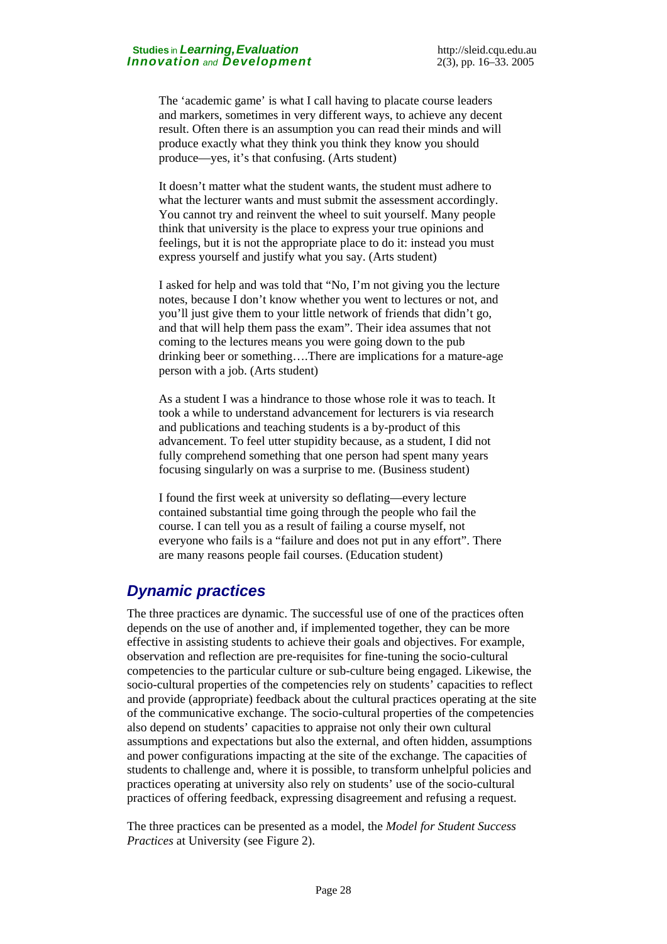The 'academic game' is what I call having to placate course leaders and markers, sometimes in very different ways, to achieve any decent result. Often there is an assumption you can read their minds and will produce exactly what they think you think they know you should produce—yes, it's that confusing. (Arts student)

It doesn't matter what the student wants, the student must adhere to what the lecturer wants and must submit the assessment accordingly. You cannot try and reinvent the wheel to suit yourself. Many people think that university is the place to express your true opinions and feelings, but it is not the appropriate place to do it: instead you must express yourself and justify what you say. (Arts student)

I asked for help and was told that "No, I'm not giving you the lecture notes, because I don't know whether you went to lectures or not, and you'll just give them to your little network of friends that didn't go, and that will help them pass the exam". Their idea assumes that not coming to the lectures means you were going down to the pub drinking beer or something….There are implications for a mature-age person with a job. (Arts student)

As a student I was a hindrance to those whose role it was to teach. It took a while to understand advancement for lecturers is via research and publications and teaching students is a by-product of this advancement. To feel utter stupidity because, as a student, I did not fully comprehend something that one person had spent many years focusing singularly on was a surprise to me. (Business student)

I found the first week at university so deflating—every lecture contained substantial time going through the people who fail the course. I can tell you as a result of failing a course myself, not everyone who fails is a "failure and does not put in any effort". There are many reasons people fail courses. (Education student)

## *Dynamic practices*

The three practices are dynamic. The successful use of one of the practices often depends on the use of another and, if implemented together, they can be more effective in assisting students to achieve their goals and objectives. For example, observation and reflection are pre-requisites for fine-tuning the socio-cultural competencies to the particular culture or sub-culture being engaged. Likewise, the socio-cultural properties of the competencies rely on students' capacities to reflect and provide (appropriate) feedback about the cultural practices operating at the site of the communicative exchange. The socio-cultural properties of the competencies also depend on students' capacities to appraise not only their own cultural assumptions and expectations but also the external, and often hidden, assumptions and power configurations impacting at the site of the exchange. The capacities of students to challenge and, where it is possible, to transform unhelpful policies and practices operating at university also rely on students' use of the socio-cultural practices of offering feedback, expressing disagreement and refusing a request.

The three practices can be presented as a model, the *Model for Student Success Practices* at University (see Figure 2).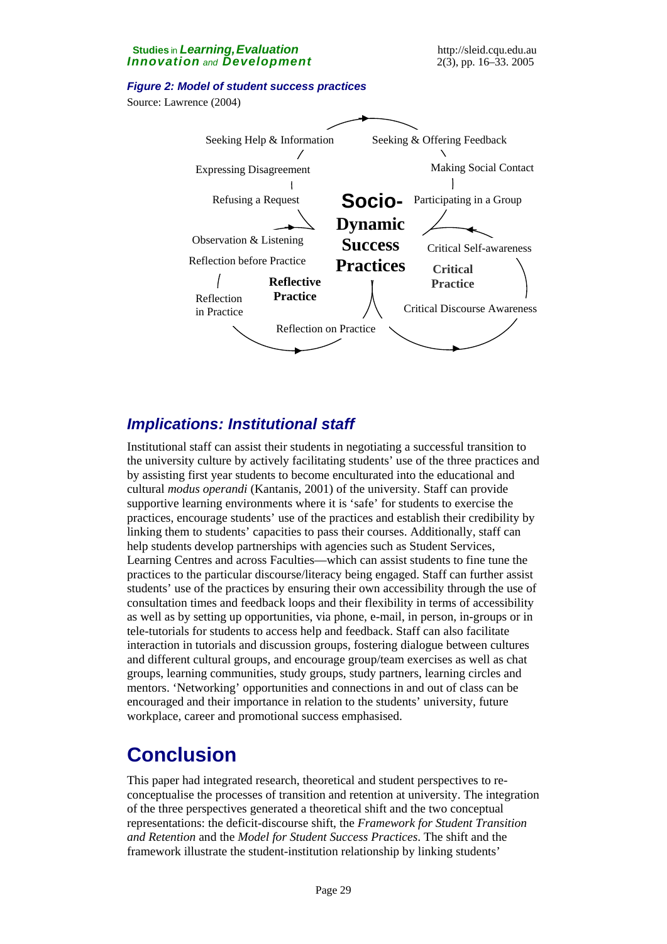#### *Figure 2: Model of student success practices*

Source: Lawrence (2004)



## *Implications: Institutional staff*

Institutional staff can assist their students in negotiating a successful transition to the university culture by actively facilitating students' use of the three practices and by assisting first year students to become enculturated into the educational and cultural *modus operandi* (Kantanis, 2001) of the university. Staff can provide supportive learning environments where it is 'safe' for students to exercise the practices, encourage students' use of the practices and establish their credibility by linking them to students' capacities to pass their courses. Additionally, staff can help students develop partnerships with agencies such as Student Services, Learning Centres and across Faculties—which can assist students to fine tune the practices to the particular discourse/literacy being engaged. Staff can further assist students' use of the practices by ensuring their own accessibility through the use of consultation times and feedback loops and their flexibility in terms of accessibility as well as by setting up opportunities, via phone, e-mail, in person, in-groups or in tele-tutorials for students to access help and feedback. Staff can also facilitate interaction in tutorials and discussion groups, fostering dialogue between cultures and different cultural groups, and encourage group/team exercises as well as chat groups, learning communities, study groups, study partners, learning circles and mentors. 'Networking' opportunities and connections in and out of class can be encouraged and their importance in relation to the students' university, future workplace, career and promotional success emphasised.

# **Conclusion**

This paper had integrated research, theoretical and student perspectives to reconceptualise the processes of transition and retention at university. The integration of the three perspectives generated a theoretical shift and the two conceptual representations: the deficit-discourse shift, the *Framework for Student Transition and Retention* and the *Model for Student Success Practices*. The shift and the framework illustrate the student-institution relationship by linking students'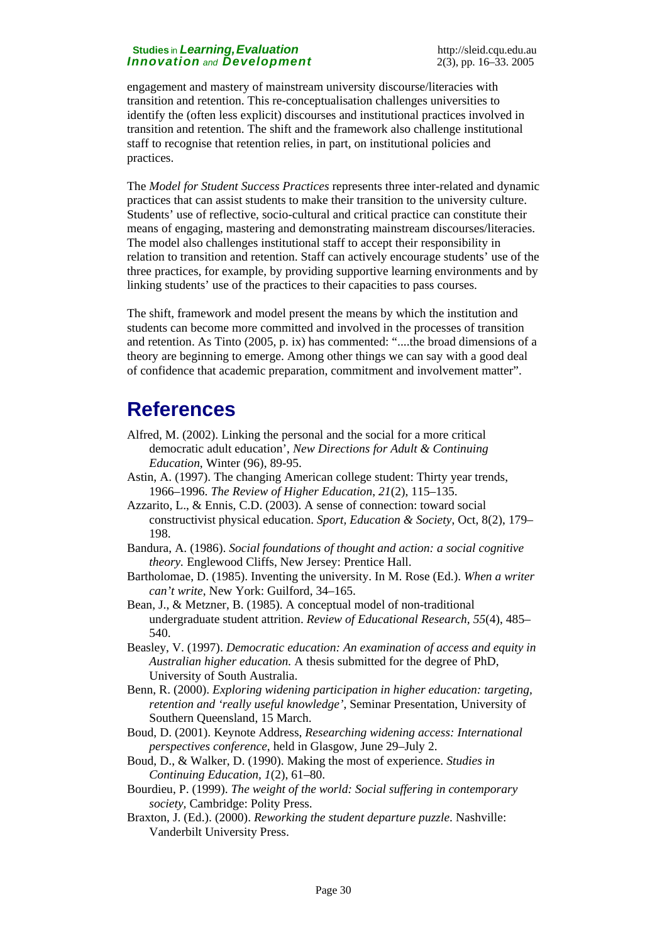engagement and mastery of mainstream university discourse/literacies with transition and retention. This re-conceptualisation challenges universities to identify the (often less explicit) discourses and institutional practices involved in transition and retention. The shift and the framework also challenge institutional staff to recognise that retention relies, in part, on institutional policies and practices.

The *Model for Student Success Practices* represents three inter-related and dynamic practices that can assist students to make their transition to the university culture. Students' use of reflective, socio-cultural and critical practice can constitute their means of engaging, mastering and demonstrating mainstream discourses/literacies. The model also challenges institutional staff to accept their responsibility in relation to transition and retention. Staff can actively encourage students' use of the three practices, for example, by providing supportive learning environments and by linking students' use of the practices to their capacities to pass courses.

The shift, framework and model present the means by which the institution and students can become more committed and involved in the processes of transition and retention. As Tinto (2005, p. ix) has commented: "....the broad dimensions of a theory are beginning to emerge. Among other things we can say with a good deal of confidence that academic preparation, commitment and involvement matter".

# **References**

- Alfred, M. (2002). Linking the personal and the social for a more critical democratic adult education', *New Directions for Adult & Continuing Education*, Winter (96), 89-95.
- Astin, A. (1997). The changing American college student: Thirty year trends, 1966–1996. *The Review of Higher Education*, *21*(2), 115–135.
- Azzarito, L., & Ennis, C.D. (2003). A sense of connection: toward social constructivist physical education. *Sport, Education & Society*, Oct, 8(2), 179– 198.
- Bandura, A. (1986). *Social foundations of thought and action: a social cognitive theory.* Englewood Cliffs, New Jersey: Prentice Hall.
- Bartholomae, D. (1985). Inventing the university. In M. Rose (Ed.). *When a writer can't write*, New York: Guilford, 34–165.
- Bean, J., & Metzner, B. (1985). A conceptual model of non-traditional undergraduate student attrition. *Review of Educational Research, 55*(4), 485– 540.
- Beasley, V. (1997). *Democratic education: An examination of access and equity in Australian higher education.* A thesis submitted for the degree of PhD, University of South Australia.
- Benn, R. (2000). *Exploring widening participation in higher education: targeting, retention and 'really useful knowledge'*, Seminar Presentation, University of Southern Queensland, 15 March.
- Boud, D. (2001). Keynote Address, *Researching widening access: International perspectives conference*, held in Glasgow, June 29–July 2.
- Boud, D., & Walker, D. (1990). Making the most of experience. *Studies in Continuing Education, 1*(2), 61–80.
- Bourdieu, P. (1999). *The weight of the world: Social suffering in contemporary society,* Cambridge: Polity Press.
- Braxton, J. (Ed.). (2000). *Reworking the student departure puzzle*. Nashville: Vanderbilt University Press.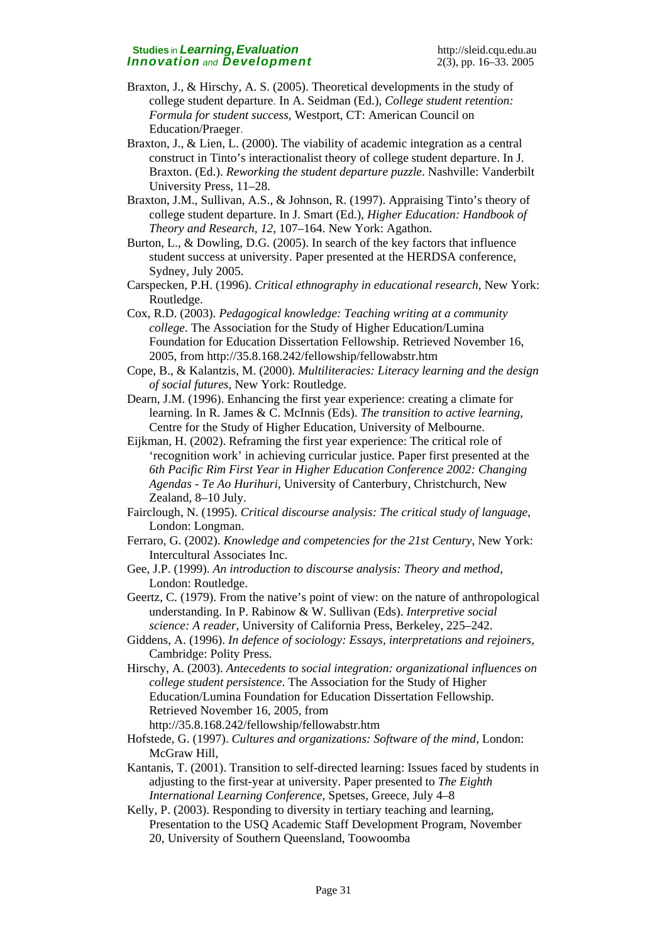- Braxton, J., & Hirschy, A. S. (2005). Theoretical developments in the study of college student departure. In A. Seidman (Ed.), *College student retention: Formula for student success*, Westport, CT: American Council on Education/Praeger.
- Braxton, J., & Lien, L. (2000). The viability of academic integration as a central construct in Tinto's interactionalist theory of college student departure. In J. Braxton. (Ed.). *Reworking the student departure puzzle*. Nashville: Vanderbilt University Press, 11–28.
- Braxton, J.M., Sullivan, A.S., & Johnson, R. (1997). Appraising Tinto's theory of college student departure. In J. Smart (Ed.), *Higher Education: Handbook of Theory and Research, 12*, 107–164. New York: Agathon.
- Burton, L., & Dowling, D.G. (2005). In search of the key factors that influence student success at university. Paper presented at the HERDSA conference, Sydney, July 2005.
- Carspecken, P.H. (1996). *Critical ethnography in educational research,* New York: Routledge.
- Cox, R.D. (2003). *Pedagogical knowledge: Teaching writing at a community college*. The Association for the Study of Higher Education[/Lumina](mailto:%20ashemsu@msu.edu)  [Foundation for Education Dissertation Fellowship.](mailto:%20ashemsu@msu.edu) Retrieved November 16, 2005, from <http://35.8.168.242/fellowship/fellowabstr.htm>
- Cope, B., & Kalantzis, M. (2000). *Multiliteracies: Literacy learning and the design of social futures*, New York: Routledge.
- Dearn, J.M. (1996). Enhancing the first year experience: creating a climate for learning. In R. James & C. McInnis (Eds). *The transition to active learning*, Centre for the Study of Higher Education, University of Melbourne.
- Eijkman, H. (2002). [Reframing the first year experience: The critical role of](http://ultibase.rmit.edu.au/Articles/march03/eijkman1.htm)  ['recognition work' in achieving curricular justice.](http://ultibase.rmit.edu.au/Articles/march03/eijkman1.htm) Paper first presented at the *6th Pacific Rim First Year in Higher Education Conference 2002: Changing Agendas - Te Ao Hurihuri*, University of Canterbury, Christchurch, New Zealand, 8–10 July.
- Fairclough, N. (1995). *Critical discourse analysis: The critical study of language*, London: Longman.
- Ferraro, G. (2002). *Knowledge and competencies for the 21st Century*, New York: Intercultural Associates Inc.
- Gee, J.P. (1999). *An introduction to discourse analysis: Theory and method,* London: Routledge.
- Geertz, C. (1979). From the native's point of view: on the nature of anthropological understanding. In P. Rabinow & W. Sullivan (Eds). *Interpretive social science: A reader*, University of California Press, Berkeley, 225–242.
- Giddens, A. (1996). *In defence of sociology: Essays, interpretations and rejoiners,* Cambridge: Polity Press.
- Hirschy, A. (2003). *Antecedents to social integration: organizational influences on college student persistence*. The Association for the Study of Higher Education/[Lumina Foundation for Education Dissertation Fellowship.](mailto:%20ashemsu@msu.edu) Retrieved November 16, 2005, from <http://35.8.168.242/fellowship/fellowabstr.htm>
- Hofstede, G. (1997). *Cultures and organizations: Software of the mind,* London: McGraw Hill,
- Kantanis, T. (2001). Transition to self-directed learning: Issues faced by students in adjusting to the first-year at university. Paper presented to *The Eighth International Learning Conference*, Spetses, Greece, July 4–8
- Kelly, P. (2003). Responding to diversity in tertiary teaching and learning, Presentation to the USQ Academic Staff Development Program, November 20, University of Southern Queensland, Toowoomba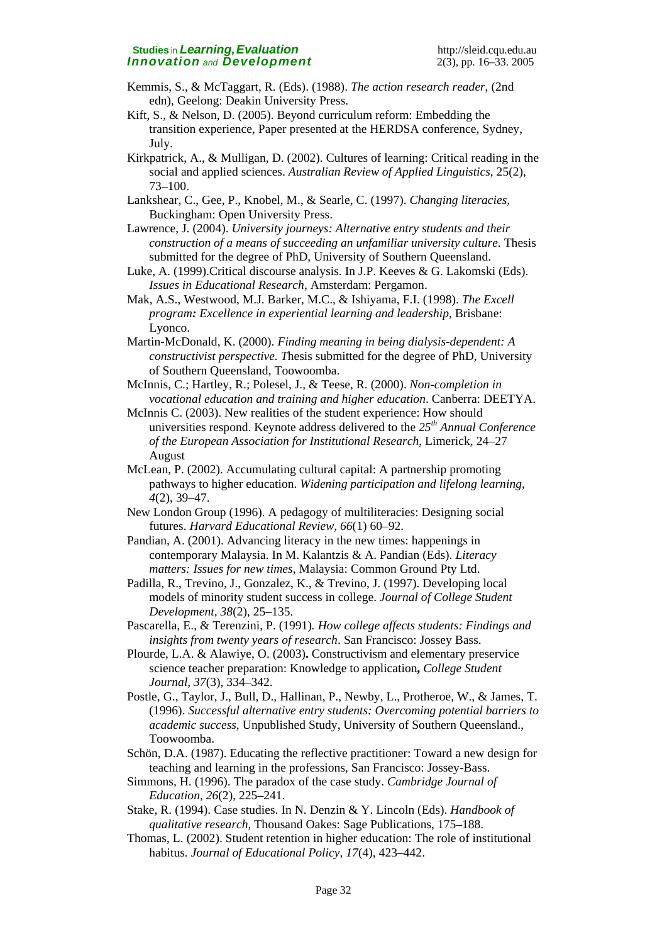- Kemmis, S., & McTaggart, R. (Eds). (1988). *The action research reader*, (2nd edn), Geelong: Deakin University Press.
- Kift, S., & Nelson, D. (2005). Beyond curriculum reform: Embedding the transition experience, Paper presented at the HERDSA conference, Sydney, July.
- Kirkpatrick, A., & Mulligan, D. (2002). Cultures of learning: Critical reading in the social and applied sciences. *Australian Review of Applied Linguistics*, 25(2), 73–100.
- Lankshear, C., Gee, P., Knobel, M., & Searle, C. (1997). *Changing literacies,* Buckingham: Open University Press.
- Lawrence, J. (2004). *University journeys: Alternative entry students and their construction of a means of succeeding an unfamiliar university culture*. Thesis submitted for the degree of PhD, University of Southern Queensland.
- Luke, A. (1999).Critical discourse analysis. In J.P. Keeves & G. Lakomski (Eds). *Issues in Educational Research*, Amsterdam: Pergamon.
- Mak, A.S., Westwood, M.J. Barker, M.C., & Ishiyama, F.I. (1998). *The Excell program: Excellence in experiential learning and leadership,* Brisbane: Lyonco.
- Martin-McDonald, K. (2000). *Finding meaning in being dialysis-dependent: A constructivist perspective. T*hesis submitted for the degree of PhD, University of Southern Queensland, Toowoomba.
- McInnis, C.; Hartley, R.; Polesel, J., & Teese, R. (2000). *Non-completion in vocational education and training and higher education*. Canberra: DEETYA.
- McInnis C. (2003). New realities of the student experience: How should universities respond. Keynote address delivered to the *25th Annual Conference of the European Association for Institutional Research*, Limerick, 24–27 August
- McLean, P. (2002). Accumulating cultural capital: A partnership promoting pathways to higher education. *Widening participation and lifelong learning, 4*(2), 39–47.
- New London Group (1996). A pedagogy of multiliteracies: Designing social futures. *Harvard Educational Review, 66*(1) 60–92.
- Pandian, A. (2001). Advancing literacy in the new times: happenings in contemporary Malaysia. In M. Kalantzis & A. Pandian (Eds). *Literacy matters: Issues for new times*, Malaysia: Common Ground Pty Ltd.
- Padilla, R., Trevino, J., Gonzalez, K., & Trevino, J. (1997). Developing local models of minority student success in college. *Journal of College Student Development*, *38*(2), 25–135.
- Pascarella, E., & Terenzini, P. (1991)*. How college affects students: Findings and insights from twenty years of research*. San Francisco: Jossey Bass.
- [Plourde, L.A.](http://web15.epnet.com/searchpost.asp?tb=1&_ug=dbs+0+ln+en%2Dus+sid+0390832D%2DE58A%2D429D%2DB9BB%2D4F91213A6C83%40Sessionmgr4+EC1F&_us=bs+%7Bconstructivism++and++education%7D+db+0+ds+%7Bconstructivism++and++education%7D+dstb+KS+hd+0+hs+0+or+Da) & [Alawiye, O](http://web15.epnet.com/searchpost.asp?tb=1&_ug=dbs+0+ln+en%2Dus+sid+0390832D%2DE58A%2D429D%2DB9BB%2D4F91213A6C83%40Sessionmgr4+EC1F&_us=bs+%7Bconstructivism++and++education%7D+db+0+ds+%7Bconstructivism++and++education%7D+dstb+KS+hd+0+hs+0+or+Da). (2003)**.** Constructivism and elementary preservice science teacher preparation: Knowledge to application**,** *[College Student](http://web15.epnet.com/hjafdetail.asp?tb=1&_ug=dbs+0+ln+en%2Dus+sid+0390832D%2DE58A%2D429D%2DB9BB%2D4F91213A6C83%40Sessionmgr4+EC1F&_us=bs+%7Bconstructivism++and++education%7D+db+0+ds+%7Bconstructivism++and++education%7D+dstb+KS+hd+0+hs+0+or+Da)  [Journal,](http://web15.epnet.com/hjafdetail.asp?tb=1&_ug=dbs+0+ln+en%2Dus+sid+0390832D%2DE58A%2D429D%2DB9BB%2D4F91213A6C83%40Sessionmgr4+EC1F&_us=bs+%7Bconstructivism++and++education%7D+db+0+ds+%7Bconstructivism++and++education%7D+dstb+KS+hd+0+hs+0+or+Da) 37*(3), 334–342.
- Postle, G., Taylor, J., Bull, D., Hallinan, P., Newby, L., Protheroe, W., & James, T. (1996). *Successful alternative entry students: Overcoming potential barriers to academic success,* Unpublished Study, University of Southern Queensland., Toowoomba.
- Schön, D.A. (1987). Educating the reflective practitioner: Toward a new design for teaching and learning in the professions, San Francisco: Jossey-Bass.
- Simmons, H. (1996). The paradox of the case study. *Cambridge Journal of Education, 26*(2), 225–241.
- Stake, R. (1994). Case studies. In N. Denzin & Y. Lincoln (Eds). *Handbook of qualitative research,* Thousand Oakes: Sage Publications, 175–188.
- Thomas, L. (2002). Student retention in higher education: The role of institutional habitus*. Journal of Educational Policy, 17*(4), 423–442.